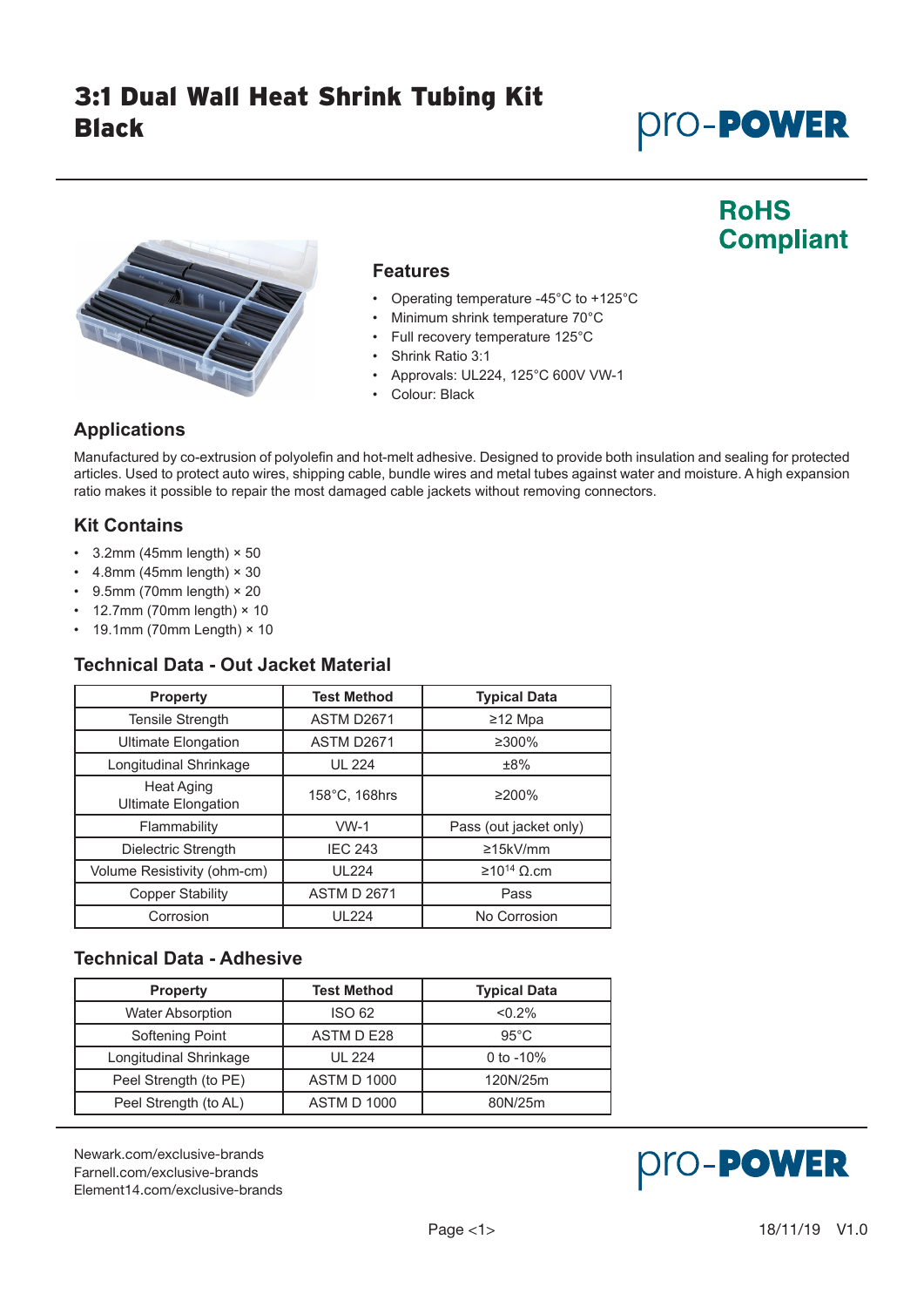# *Pro-Power*

## **RoHS Compliant**



#### **Features**

- Operating temperature -45°C to +125°C
- Minimum shrink temperature 70°C
- Full recovery temperature 125°C
- Shrink Ratio 3:1
- Approvals: UL224, 125°C 600V VW-1
- Colour: Black

## **Applications**

Manufactured by co-extrusion of polyolefin and hot-melt adhesive. Designed to provide both insulation and sealing for protected articles. Used to protect auto wires, shipping cable, bundle wires and metal tubes against water and moisture. A high expansion ratio makes it possible to repair the most damaged cable jackets without removing connectors.

## **Kit Contains**

- $\cdot$  3.2mm (45mm length)  $\times$  50
- $\cdot$  4.8mm (45mm length)  $\times$  30
- $\cdot$  9.5mm (70mm length)  $\times$  20
- 12.7mm (70mm length) × 10

## $\cdot$  19.1mm (70mm Length)  $\times$  10

## **Technical Data - Out Jacket Material**

| <b>Property</b>                          | <b>Test Method</b> | <b>Typical Data</b>    |  |
|------------------------------------------|--------------------|------------------------|--|
| <b>Tensile Strength</b>                  | ASTM D2671         | ≥12 Mpa                |  |
| <b>Ultimate Elongation</b>               | ASTM D2671         | ≥300%                  |  |
| Longitudinal Shrinkage                   | <b>UL 224</b>      | ±8%                    |  |
| Heat Aging<br><b>Ultimate Elongation</b> | 158°C, 168hrs      | $\geq$ 200%            |  |
| Flammability                             | $VW-1$             | Pass (out jacket only) |  |
| Dielectric Strength                      | <b>IEC 243</b>     | $\geq$ 15kV/mm         |  |
| Volume Resistivity (ohm-cm)              | <b>UL224</b>       | $\geq 10^{14}$ Q.cm    |  |
| <b>Copper Stability</b>                  | <b>ASTM D 2671</b> | Pass                   |  |
| Corrosion                                | <b>UL224</b>       | No Corrosion           |  |

## **Technical Data - Adhesive**

| <b>Property</b>         | <b>Test Method</b> | <b>Typical Data</b> |  |
|-------------------------|--------------------|---------------------|--|
| <b>Water Absorption</b> | <b>ISO 62</b>      | < 0.2%              |  |
| Softening Point         | ASTM D E28         | $95^{\circ}$ C      |  |
| Longitudinal Shrinkage  | <b>UL 224</b>      | 0 to $-10%$         |  |
| Peel Strength (to PE)   | <b>ASTM D 1000</b> | 120N/25m            |  |
| Peel Strength (to AL)   | <b>ASTM D 1000</b> | 80N/25m             |  |

[Newark.com/exclusive-brands](https://www.newark.com/exclusive-brands) [Farnell.com/exclusive-brands](https://www.farnell.com/exclusive-brands) [Element14.com/exclusive-brands](https://element14.com/exclusive-brands)